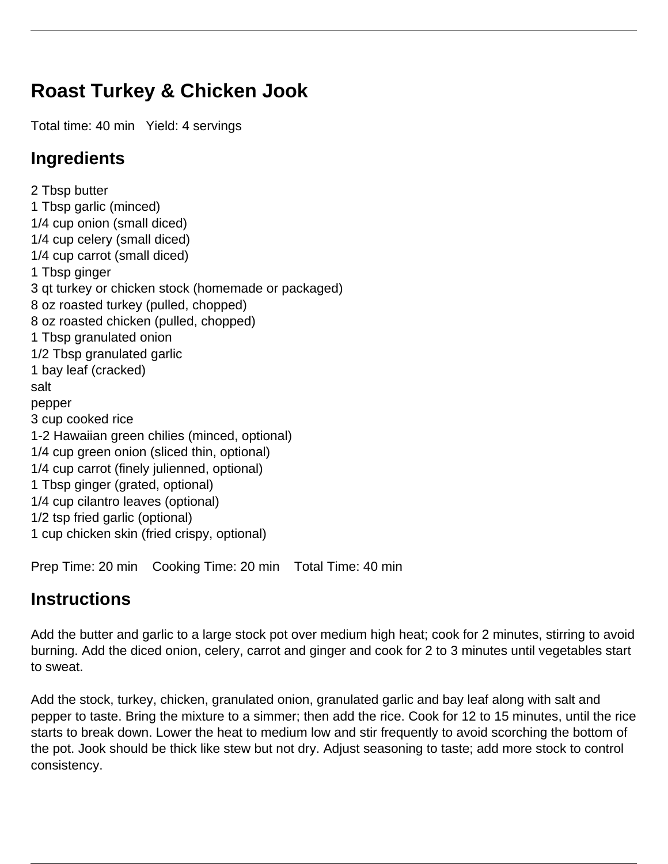## **Roast Turkey & Chicken Jook**

Total time: 40 min Yield: 4 servings

## **Ingredients**

2 Tbsp butter 1 Tbsp garlic (minced) 1/4 cup onion (small diced) 1/4 cup celery (small diced) 1/4 cup carrot (small diced) 1 Tbsp ginger 3 qt turkey or chicken stock (homemade or packaged) 8 oz roasted turkey (pulled, chopped) 8 oz roasted chicken (pulled, chopped) 1 Tbsp granulated onion 1/2 Tbsp granulated garlic 1 bay leaf (cracked) salt pepper 3 cup cooked rice 1-2 Hawaiian green chilies (minced, optional) 1/4 cup green onion (sliced thin, optional) 1/4 cup carrot (finely julienned, optional) 1 Tbsp ginger (grated, optional) 1/4 cup cilantro leaves (optional) 1/2 tsp fried garlic (optional) 1 cup chicken skin (fried crispy, optional)

Prep Time: 20 min Cooking Time: 20 min Total Time: 40 min

## **Instructions**

Add the butter and garlic to a large stock pot over medium high heat; cook for 2 minutes, stirring to avoid burning. Add the diced onion, celery, carrot and ginger and cook for 2 to 3 minutes until vegetables start to sweat.

Add the stock, turkey, chicken, granulated onion, granulated garlic and bay leaf along with salt and pepper to taste. Bring the mixture to a simmer; then add the rice. Cook for 12 to 15 minutes, until the rice starts to break down. Lower the heat to medium low and stir frequently to avoid scorching the bottom of the pot. Jook should be thick like stew but not dry. Adjust seasoning to taste; add more stock to control consistency.